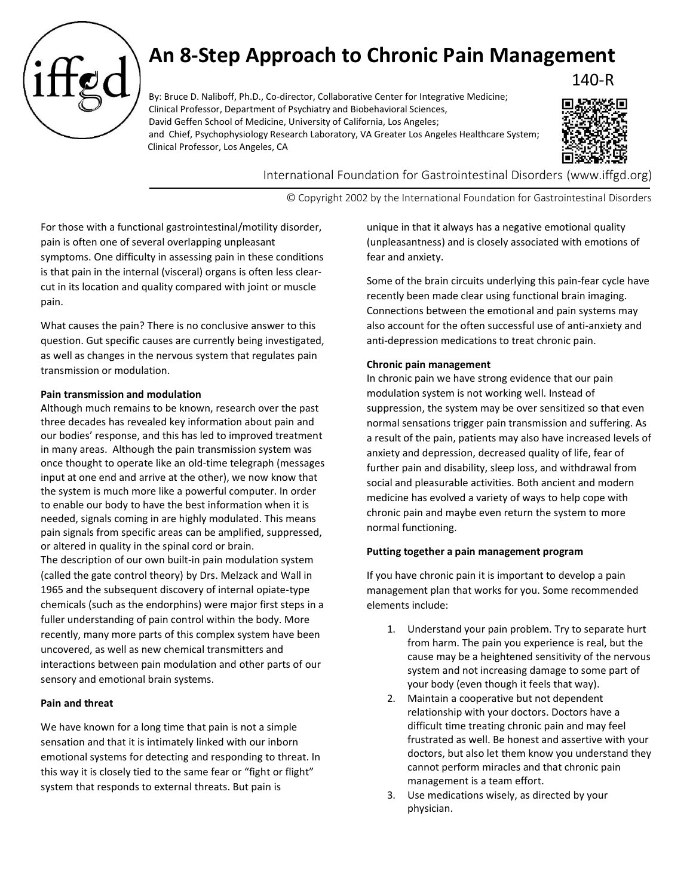

# **An 8-Step Approach to Chronic Pain Management**

By: Bruce D. Naliboff, Ph.D., Co-director, Collaborative Center for Integrative Medicine; Clinical Professor, Department of Psychiatry and Biobehavioral Sciences, David Geffen School of Medicine, University of California, Los Angeles; and Chief, Psychophysiology Research Laboratory, VA Greater Los Angeles Healthcare System; Clinical Professor, Los Angeles, CA



140-R

International Foundation for Gastrointestinal Disorders (www.iffgd.org)

© Copyright 2002 by the International Foundation for Gastrointestinal Disorders

For those with a functional gastrointestinal/motility disorder, pain is often one of several overlapping unpleasant symptoms. One difficulty in assessing pain in these conditions is that pain in the internal (visceral) organs is often less clearcut in its location and quality compared with joint or muscle pain.

What causes the pain? There is no conclusive answer to this question. Gut specific causes are currently being investigated, as well as changes in the nervous system that regulates pain transmission or modulation.

### **Pain transmission and modulation**

Although much remains to be known, research over the past three decades has revealed key information about pain and our bodies' response, and this has led to improved treatment in many areas. Although the pain transmission system was once thought to operate like an old-time telegraph (messages input at one end and arrive at the other), we now know that the system is much more like a powerful computer. In order to enable our body to have the best information when it is needed, signals coming in are highly modulated. This means pain signals from specific areas can be amplified, suppressed, or altered in quality in the spinal cord or brain. The description of our own built-in pain modulation system (called the gate control theory) by Drs. Melzack and Wall in 1965 and the subsequent discovery of internal opiate-type chemicals (such as the endorphins) were major first steps in a fuller understanding of pain control within the body. More recently, many more parts of this complex system have been uncovered, as well as new chemical transmitters and interactions between pain modulation and other parts of our sensory and emotional brain systems.

# **Pain and threat**

We have known for a long time that pain is not a simple sensation and that it is intimately linked with our inborn emotional systems for detecting and responding to threat. In this way it is closely tied to the same fear or "fight or flight" system that responds to external threats. But pain is

unique in that it always has a negative emotional quality (unpleasantness) and is closely associated with emotions of fear and anxiety.

Some of the brain circuits underlying this pain-fear cycle have recently been made clear using functional brain imaging. Connections between the emotional and pain systems may also account for the often successful use of anti-anxiety and anti-depression medications to treat chronic pain.

### **Chronic pain management**

In chronic pain we have strong evidence that our pain modulation system is not working well. Instead of suppression, the system may be over sensitized so that even normal sensations trigger pain transmission and suffering. As a result of the pain, patients may also have increased levels of anxiety and depression, decreased quality of life, fear of further pain and disability, sleep loss, and withdrawal from social and pleasurable activities. Both ancient and modern medicine has evolved a variety of ways to help cope with chronic pain and maybe even return the system to more normal functioning.

## **Putting together a pain management program**

If you have chronic pain it is important to develop a pain management plan that works for you. Some recommended elements include:

- 1. Understand your pain problem. Try to separate hurt from harm. The pain you experience is real, but the cause may be a heightened sensitivity of the nervous system and not increasing damage to some part of your body (even though it feels that way).
- 2. Maintain a cooperative but not dependent relationship with your doctors. Doctors have a difficult time treating chronic pain and may feel frustrated as well. Be honest and assertive with your doctors, but also let them know you understand they cannot perform miracles and that chronic pain management is a team effort.
- 3. Use medications wisely, as directed by your physician.